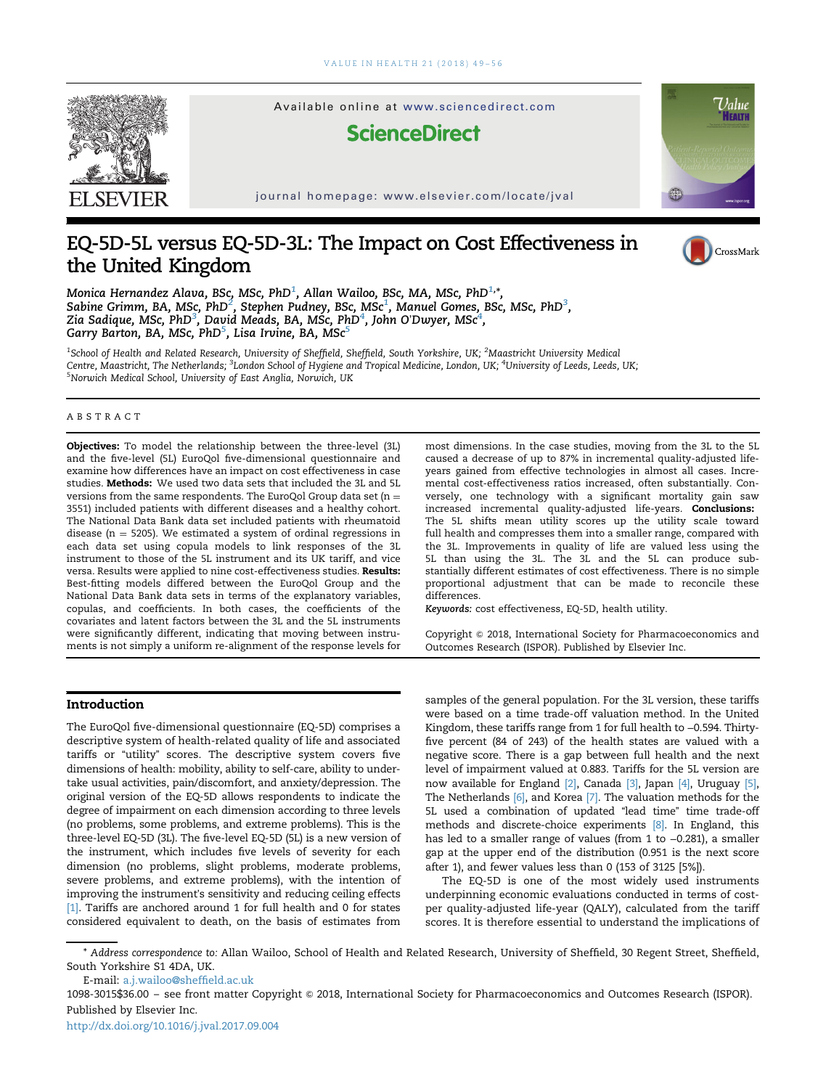

Available online at www.sciencedirect.com **ScienceDirect** 

journal homepage: www.elsevier.com/locate/jval

# EQ-5D-5L versus EQ-5D-3L: The Impact on Cost Effectiveness in the United Kingdom



<sup>1</sup>School of Health and Related Research, University of Sheffield, Sheffield, South Yorkshire, UK; <sup>2</sup>Maastricht University Medical Centre, Maastricht, The Netherlands; <sup>3</sup>London School of Hygiene and Tropical Medicine, London, UK; <sup>4</sup>University of Leeds, Leeds, UK; <sup>5</sup>Norwich Medical School, University of East Anglia, Norwich, UK

#### ABSTRACT

Objectives: To model the relationship between the three-level (3L) and the five-level (5L) EuroQol five-dimensional questionnaire and examine how differences have an impact on cost effectiveness in case studies. Methods: We used two data sets that included the 3L and 5L versions from the same respondents. The EuroQol Group data set ( $n =$ 3551) included patients with different diseases and a healthy cohort. The National Data Bank data set included patients with rheumatoid disease ( $n = 5205$ ). We estimated a system of ordinal regressions in each data set using copula models to link responses of the 3L instrument to those of the 5L instrument and its UK tariff, and vice versa. Results were applied to nine cost-effectiveness studies. Results: Best-fitting models differed between the EuroQol Group and the National Data Bank data sets in terms of the explanatory variables, copulas, and coefficients. In both cases, the coefficients of the covariates and latent factors between the 3L and the 5L instruments were significantly different, indicating that moving between instruments is not simply a uniform re-alignment of the response levels for

#### most dimensions. In the case studies, moving from the 3L to the 5L caused a decrease of up to 87% in incremental quality-adjusted lifeyears gained from effective technologies in almost all cases. Incremental cost-effectiveness ratios increased, often substantially. Conversely, one technology with a significant mortality gain saw increased incremental quality-adjusted life-years. Conclusions: The 5L shifts mean utility scores up the utility scale toward full health and compresses them into a smaller range, compared with the 3L. Improvements in quality of life are valued less using the 5L than using the 3L. The 3L and the 5L can produce substantially different estimates of cost effectiveness. There is no simple proportional adjustment that can be made to reconcile these differences.

Keywords: cost effectiveness, EQ-5D, health utility.

Copyright © 2018, International Society for Pharmacoeconomics and Outcomes Research (ISPOR). Published by Elsevier Inc.

# Introduction

The EuroQol five-dimensional questionnaire (EQ-5D) comprises a descriptive system of health-related quality of life and associated tariffs or "utility" scores. The descriptive system covers five dimensions of health: mobility, ability to self-care, ability to undertake usual activities, pain/discomfort, and anxiety/depression. The original version of the EQ-5D allows respondents to indicate the degree of impairment on each dimension according to three levels (no problems, some problems, and extreme problems). This is the three-level EQ-5D (3L). The five-level EQ-5D (5L) is a new version of the instrument, which includes five levels of severity for each dimension (no problems, slight problems, moderate problems, severe problems, and extreme problems), with the intention of improving the instrument's sensitivity and reducing ceiling effects [\[1\].](#page-7-0) Tariffs are anchored around 1 for full health and 0 for states considered equivalent to death, on the basis of estimates from

samples of the general population. For the 3L version, these tariffs were based on a time trade-off valuation method. In the United Kingdom, these tariffs range from 1 for full health to −0.594. Thirtyfive percent (84 of 243) of the health states are valued with a negative score. There is a gap between full health and the next level of impairment valued at 0.883. Tariffs for the 5L version are now available for England [\[2\],](#page-7-0) Canada [\[3\],](#page-7-0) Japan [\[4\]](#page-7-0), Uruguay [\[5\],](#page-7-0) The Netherlands [\[6\],](#page-7-0) and Korea [\[7\]](#page-7-0). The valuation methods for the 5L used a combination of updated "lead time" time trade-off methods and discrete-choice experiments [\[8\].](#page-7-0) In England, this has led to a smaller range of values (from 1 to −0.281), a smaller gap at the upper end of the distribution (0.951 is the next score after 1), and fewer values less than 0 (153 of 3125 [5%]).

The EQ-5D is one of the most widely used instruments underpinning economic evaluations conducted in terms of costper quality-adjusted life-year (QALY), calculated from the tariff scores. It is therefore essential to understand the implications of

E-mail: [a.j.wailoo@shef](mailto:a.j.wailoo@sheffield.ac.uk)field.ac.uk



CrossMark

<sup>\*</sup> Address correspondence to: Allan Wailoo, School of Health and Related Research, University of Sheffield, 30 Regent Street, Sheffield, South Yorkshire S1 4DA, UK.

<sup>1098-3015\$36.00 -</sup> see front matter Copyright © 2018, International Society for Pharmacoeconomics and Outcomes Research (ISPOR). Published by Elsevier Inc.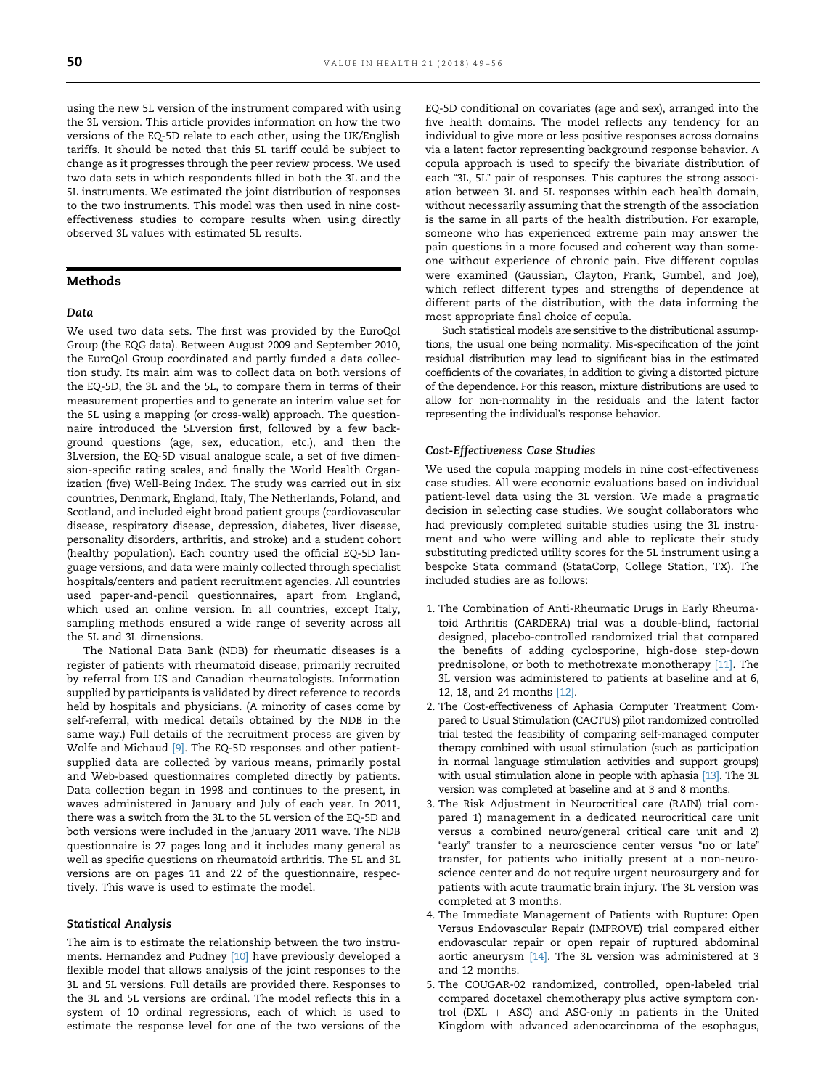using the new 5L version of the instrument compared with using the 3L version. This article provides information on how the two versions of the EQ-5D relate to each other, using the UK/English tariffs. It should be noted that this 5L tariff could be subject to change as it progresses through the peer review process. We used two data sets in which respondents filled in both the 3L and the 5L instruments. We estimated the joint distribution of responses to the two instruments. This model was then used in nine costeffectiveness studies to compare results when using directly observed 3L values with estimated 5L results.

# Methods

### Data

We used two data sets. The first was provided by the EuroQol Group (the EQG data). Between August 2009 and September 2010, the EuroQol Group coordinated and partly funded a data collection study. Its main aim was to collect data on both versions of the EQ-5D, the 3L and the 5L, to compare them in terms of their measurement properties and to generate an interim value set for the 5L using a mapping (or cross-walk) approach. The questionnaire introduced the 5Lversion first, followed by a few background questions (age, sex, education, etc.), and then the 3Lversion, the EQ-5D visual analogue scale, a set of five dimension-specific rating scales, and finally the World Health Organization (five) Well-Being Index. The study was carried out in six countries, Denmark, England, Italy, The Netherlands, Poland, and Scotland, and included eight broad patient groups (cardiovascular disease, respiratory disease, depression, diabetes, liver disease, personality disorders, arthritis, and stroke) and a student cohort (healthy population). Each country used the official EQ-5D language versions, and data were mainly collected through specialist hospitals/centers and patient recruitment agencies. All countries used paper-and-pencil questionnaires, apart from England, which used an online version. In all countries, except Italy, sampling methods ensured a wide range of severity across all the 5L and 3L dimensions.

The National Data Bank (NDB) for rheumatic diseases is a register of patients with rheumatoid disease, primarily recruited by referral from US and Canadian rheumatologists. Information supplied by participants is validated by direct reference to records held by hospitals and physicians. (A minority of cases come by self-referral, with medical details obtained by the NDB in the same way.) Full details of the recruitment process are given by Wolfe and Michaud [\[9\].](#page-7-0) The EQ-5D responses and other patientsupplied data are collected by various means, primarily postal and Web-based questionnaires completed directly by patients. Data collection began in 1998 and continues to the present, in waves administered in January and July of each year. In 2011, there was a switch from the 3L to the 5L version of the EQ-5D and both versions were included in the January 2011 wave. The NDB questionnaire is 27 pages long and it includes many general as well as specific questions on rheumatoid arthritis. The 5L and 3L versions are on pages 11 and 22 of the questionnaire, respectively. This wave is used to estimate the model.

#### Statistical Analysis

The aim is to estimate the relationship between the two instruments. Hernandez and Pudney [\[10\]](#page-7-0) have previously developed a flexible model that allows analysis of the joint responses to the 3L and 5L versions. Full details are provided there. Responses to the 3L and 5L versions are ordinal. The model reflects this in a system of 10 ordinal regressions, each of which is used to estimate the response level for one of the two versions of the

EQ-5D conditional on covariates (age and sex), arranged into the five health domains. The model reflects any tendency for an individual to give more or less positive responses across domains via a latent factor representing background response behavior. A copula approach is used to specify the bivariate distribution of each "3L, 5L" pair of responses. This captures the strong association between 3L and 5L responses within each health domain, without necessarily assuming that the strength of the association is the same in all parts of the health distribution. For example, someone who has experienced extreme pain may answer the pain questions in a more focused and coherent way than someone without experience of chronic pain. Five different copulas were examined (Gaussian, Clayton, Frank, Gumbel, and Joe), which reflect different types and strengths of dependence at different parts of the distribution, with the data informing the most appropriate final choice of copula.

Such statistical models are sensitive to the distributional assumptions, the usual one being normality. Mis-specification of the joint residual distribution may lead to significant bias in the estimated coefficients of the covariates, in addition to giving a distorted picture of the dependence. For this reason, mixture distributions are used to allow for non-normality in the residuals and the latent factor representing the individual's response behavior.

#### Cost-Effectiveness Case Studies

We used the copula mapping models in nine cost-effectiveness case studies. All were economic evaluations based on individual patient-level data using the 3L version. We made a pragmatic decision in selecting case studies. We sought collaborators who had previously completed suitable studies using the 3L instrument and who were willing and able to replicate their study substituting predicted utility scores for the 5L instrument using a bespoke Stata command (StataCorp, College Station, TX). The included studies are as follows:

- 1. The Combination of Anti-Rheumatic Drugs in Early Rheumatoid Arthritis (CARDERA) trial was a double-blind, factorial designed, placebo-controlled randomized trial that compared the benefits of adding cyclosporine, high-dose step-down prednisolone, or both to methotrexate monotherapy [\[11\].](#page-7-0) The 3L version was administered to patients at baseline and at 6, 12, 18, and 24 months [\[12\]](#page-7-0).
- 2. The Cost-effectiveness of Aphasia Computer Treatment Compared to Usual Stimulation (CACTUS) pilot randomized controlled trial tested the feasibility of comparing self-managed computer therapy combined with usual stimulation (such as participation in normal language stimulation activities and support groups) with usual stimulation alone in people with aphasia [\[13\]](#page-7-0). The 3L version was completed at baseline and at 3 and 8 months.
- 3. The Risk Adjustment in Neurocritical care (RAIN) trial compared 1) management in a dedicated neurocritical care unit versus a combined neuro/general critical care unit and 2) "early" transfer to a neuroscience center versus "no or late" transfer, for patients who initially present at a non-neuroscience center and do not require urgent neurosurgery and for patients with acute traumatic brain injury. The 3L version was completed at 3 months.
- 4. The Immediate Management of Patients with Rupture: Open Versus Endovascular Repair (IMPROVE) trial compared either endovascular repair or open repair of ruptured abdominal aortic aneurysm [\[14\].](#page-7-0) The 3L version was administered at 3 and 12 months.
- 5. The COUGAR-02 randomized, controlled, open-labeled trial compared docetaxel chemotherapy plus active symptom control (DXL  $+$  ASC) and ASC-only in patients in the United Kingdom with advanced adenocarcinoma of the esophagus,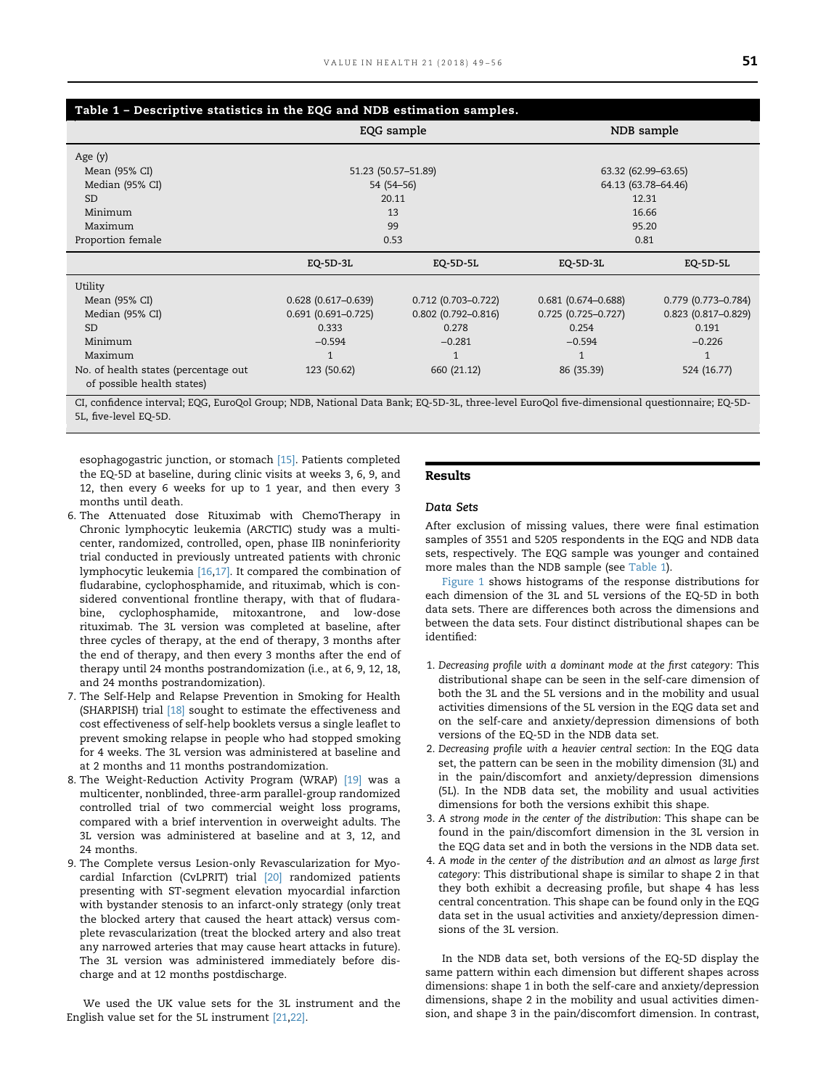<span id="page-2-0"></span>

| Table 1 - Descriptive statistics in the EQG and NDB estimation samples. |                        |                       |                        |                       |  |  |  |  |
|-------------------------------------------------------------------------|------------------------|-----------------------|------------------------|-----------------------|--|--|--|--|
|                                                                         |                        | EQG sample            | NDB sample             |                       |  |  |  |  |
| Age $(y)$                                                               |                        |                       |                        |                       |  |  |  |  |
| Mean (95% CI)                                                           |                        | 51.23 (50.57-51.89)   | 63.32 (62.99 - 63.65)  |                       |  |  |  |  |
| Median (95% CI)                                                         |                        | 54 (54-56)            | 64.13 (63.78-64.46)    |                       |  |  |  |  |
| <b>SD</b>                                                               |                        | 20.11                 | 12.31                  |                       |  |  |  |  |
| Minimum                                                                 |                        | 13                    | 16.66                  |                       |  |  |  |  |
| Maximum                                                                 |                        | 99                    | 95.20                  |                       |  |  |  |  |
| Proportion female                                                       |                        | 0.53                  | 0.81                   |                       |  |  |  |  |
|                                                                         | EQ-5D-3L               | EQ-5D-5L              | $EQ-5D-3L$             | $EQ-5D-5L$            |  |  |  |  |
| Utility                                                                 |                        |                       |                        |                       |  |  |  |  |
| Mean (95% CI)                                                           | $0.628(0.617 - 0.639)$ | $0.712$ (0.703-0.722) | $0.681$ (0.674-0.688)  | 0.779 (0.773-0.784)   |  |  |  |  |
| Median (95% CI)                                                         | $0.691(0.691 - 0.725)$ | $0.802$ (0.792-0.816) | $0.725(0.725 - 0.727)$ | $0.823$ (0.817-0.829) |  |  |  |  |
| <b>SD</b>                                                               | 0.333                  | 0.278                 | 0.254                  | 0.191                 |  |  |  |  |
| Minimum                                                                 | $-0.594$               | $-0.281$              | $-0.594$               | $-0.226$              |  |  |  |  |
| Maximum                                                                 | $\mathbf{1}$           | $\mathbf{1}$          | $\mathbf{1}$           | $\mathbf{1}$          |  |  |  |  |
| No. of health states (percentage out<br>of possible health states)      | 123 (50.62)            | 660 (21.12)           | 86 (35.39)             | 524 (16.77)           |  |  |  |  |

CI, confidence interval; EQG, EuroQol Group; NDB, National Data Bank; EQ-5D-3L, three-level EuroQol five-dimensional questionnaire; EQ-5D-5L, five-level EQ-5D.

esophagogastric junction, or stomach [\[15\]](#page-7-0). Patients completed the EQ-5D at baseline, during clinic visits at weeks 3, 6, 9, and 12, then every 6 weeks for up to 1 year, and then every 3 months until death.

- 6. The Attenuated dose Rituximab with ChemoTherapy in Chronic lymphocytic leukemia (ARCTIC) study was a multicenter, randomized, controlled, open, phase IIB noninferiority trial conducted in previously untreated patients with chronic lymphocytic leukemia [\[16,17\]](#page-7-0). It compared the combination of fludarabine, cyclophosphamide, and rituximab, which is considered conventional frontline therapy, with that of fludarabine, cyclophosphamide, mitoxantrone, and low-dose rituximab. The 3L version was completed at baseline, after three cycles of therapy, at the end of therapy, 3 months after the end of therapy, and then every 3 months after the end of therapy until 24 months postrandomization (i.e., at 6, 9, 12, 18, and 24 months postrandomization).
- 7. The Self-Help and Relapse Prevention in Smoking for Health (SHARPISH) trial [\[18\]](#page-7-0) sought to estimate the effectiveness and cost effectiveness of self-help booklets versus a single leaflet to prevent smoking relapse in people who had stopped smoking for 4 weeks. The 3L version was administered at baseline and at 2 months and 11 months postrandomization.
- 8. The Weight-Reduction Activity Program (WRAP) [\[19\]](#page-7-0) was a multicenter, nonblinded, three-arm parallel-group randomized controlled trial of two commercial weight loss programs, compared with a brief intervention in overweight adults. The 3L version was administered at baseline and at 3, 12, and 24 months.
- 9. The Complete versus Lesion-only Revascularization for Myocardial Infarction (CvLPRIT) trial [\[20\]](#page-7-0) randomized patients presenting with ST-segment elevation myocardial infarction with bystander stenosis to an infarct-only strategy (only treat the blocked artery that caused the heart attack) versus complete revascularization (treat the blocked artery and also treat any narrowed arteries that may cause heart attacks in future). The 3L version was administered immediately before discharge and at 12 months postdischarge.

We used the UK value sets for the 3L instrument and the English value set for the 5L instrument [\[21,22\].](#page-7-0)

# Results

#### Data Sets

After exclusion of missing values, there were final estimation samples of 3551 and 5205 respondents in the EQG and NDB data sets, respectively. The EQG sample was younger and contained more males than the NDB sample (see Table 1).

[Figure 1](#page-3-0) shows histograms of the response distributions for each dimension of the 3L and 5L versions of the EQ-5D in both data sets. There are differences both across the dimensions and between the data sets. Four distinct distributional shapes can be identified:

- 1. Decreasing profile with a dominant mode at the first category: This distributional shape can be seen in the self-care dimension of both the 3L and the 5L versions and in the mobility and usual activities dimensions of the 5L version in the EQG data set and on the self-care and anxiety/depression dimensions of both versions of the EQ-5D in the NDB data set.
- 2. Decreasing profile with a heavier central section: In the EQG data set, the pattern can be seen in the mobility dimension (3L) and in the pain/discomfort and anxiety/depression dimensions (5L). In the NDB data set, the mobility and usual activities dimensions for both the versions exhibit this shape.
- 3. A strong mode in the center of the distribution: This shape can be found in the pain/discomfort dimension in the 3L version in the EQG data set and in both the versions in the NDB data set.
- 4. A mode in the center of the distribution and an almost as large first category: This distributional shape is similar to shape 2 in that they both exhibit a decreasing profile, but shape 4 has less central concentration. This shape can be found only in the EQG data set in the usual activities and anxiety/depression dimensions of the 3L version.

In the NDB data set, both versions of the EQ-5D display the same pattern within each dimension but different shapes across dimensions: shape 1 in both the self-care and anxiety/depression dimensions, shape 2 in the mobility and usual activities dimension, and shape 3 in the pain/discomfort dimension. In contrast,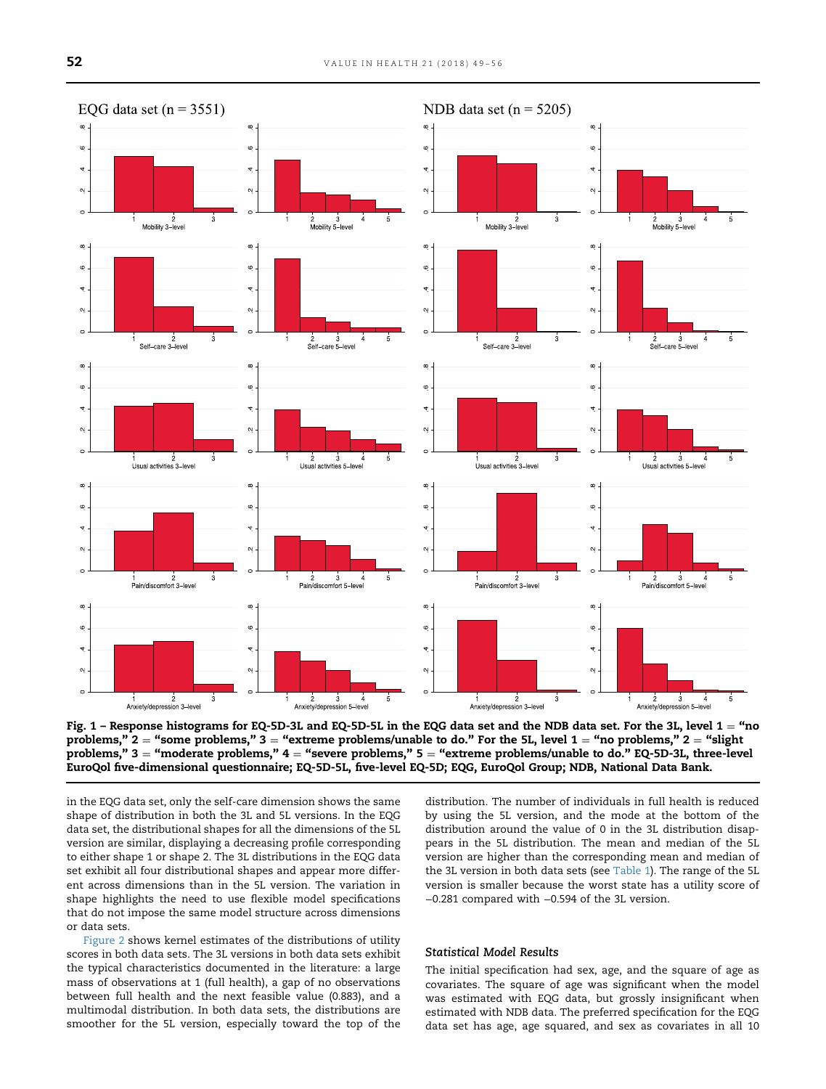<span id="page-3-0"></span>

Fig. 1 – Response histograms for EQ-5D-3L and EQ-5D-5L in the EQG data set and the NDB data set. For the 3L, level  $1 =$  "no problems,"  $2 =$  "some problems,"  $3 =$  "extreme problems/unable to do." For the 5L, level  $1 =$  "no problems,"  $2 =$  "slight problems,"  $3 =$  "moderate problems,"  $4 =$  "severe problems,"  $5 =$  "extreme problems/unable to do." EQ-5D-3L, three-level EuroQol five-dimensional questionnaire; EQ-5D-5L, five-level EQ-5D; EQG, EuroQol Group; NDB, National Data Bank.

in the EQG data set, only the self-care dimension shows the same shape of distribution in both the 3L and 5L versions. In the EQG data set, the distributional shapes for all the dimensions of the 5L version are similar, displaying a decreasing profile corresponding to either shape 1 or shape 2. The 3L distributions in the EQG data set exhibit all four distributional shapes and appear more different across dimensions than in the 5L version. The variation in shape highlights the need to use flexible model specifications that do not impose the same model structure across dimensions or data sets.

[Figure 2](#page-4-0) shows kernel estimates of the distributions of utility scores in both data sets. The 3L versions in both data sets exhibit the typical characteristics documented in the literature: a large mass of observations at 1 (full health), a gap of no observations between full health and the next feasible value (0.883), and a multimodal distribution. In both data sets, the distributions are smoother for the 5L version, especially toward the top of the

distribution. The number of individuals in full health is reduced by using the 5L version, and the mode at the bottom of the distribution around the value of 0 in the 3L distribution disappears in the 5L distribution. The mean and median of the 5L version are higher than the corresponding mean and median of the 3L version in both data sets (see [Table 1\)](#page-2-0). The range of the 5L version is smaller because the worst state has a utility score of −0.281 compared with −0.594 of the 3L version.

### Statistical Model Results

The initial specification had sex, age, and the square of age as covariates. The square of age was significant when the model was estimated with EQG data, but grossly insignificant when estimated with NDB data. The preferred specification for the EQG data set has age, age squared, and sex as covariates in all 10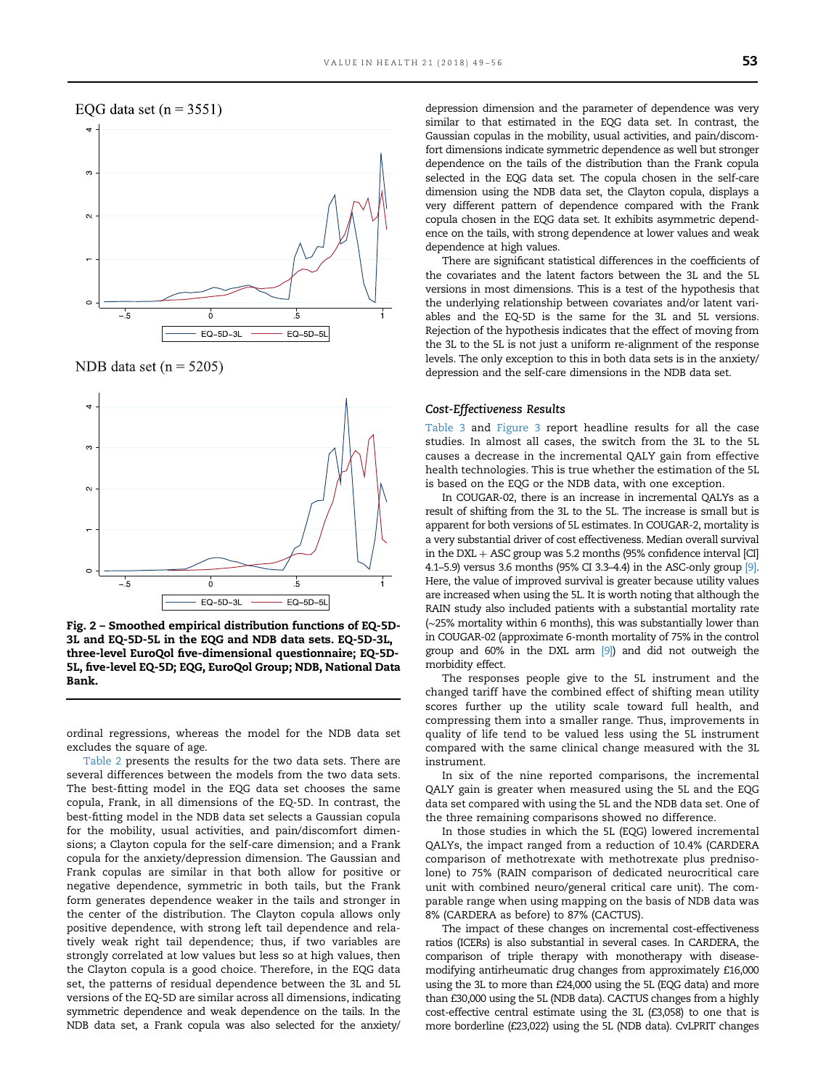<span id="page-4-0"></span>

NDB data set  $(n = 5205)$ 



Fig. 2 – Smoothed empirical distribution functions of EQ-5D-3L and EQ-5D-5L in the EQG and NDB data sets. EQ-5D-3L, three-level EuroQol five-dimensional questionnaire; EQ-5D-5L, five-level EQ-5D; EQG, EuroQol Group; NDB, National Data Bank.

ordinal regressions, whereas the model for the NDB data set excludes the square of age.

[Table 2](#page-5-0) presents the results for the two data sets. There are several differences between the models from the two data sets. The best-fitting model in the EQG data set chooses the same copula, Frank, in all dimensions of the EQ-5D. In contrast, the best-fitting model in the NDB data set selects a Gaussian copula for the mobility, usual activities, and pain/discomfort dimensions; a Clayton copula for the self-care dimension; and a Frank copula for the anxiety/depression dimension. The Gaussian and Frank copulas are similar in that both allow for positive or negative dependence, symmetric in both tails, but the Frank form generates dependence weaker in the tails and stronger in the center of the distribution. The Clayton copula allows only positive dependence, with strong left tail dependence and relatively weak right tail dependence; thus, if two variables are strongly correlated at low values but less so at high values, then the Clayton copula is a good choice. Therefore, in the EQG data set, the patterns of residual dependence between the 3L and 5L versions of the EQ-5D are similar across all dimensions, indicating symmetric dependence and weak dependence on the tails. In the NDB data set, a Frank copula was also selected for the anxiety/

depression dimension and the parameter of dependence was very similar to that estimated in the EQG data set. In contrast, the Gaussian copulas in the mobility, usual activities, and pain/discomfort dimensions indicate symmetric dependence as well but stronger dependence on the tails of the distribution than the Frank copula selected in the EQG data set. The copula chosen in the self-care dimension using the NDB data set, the Clayton copula, displays a very different pattern of dependence compared with the Frank copula chosen in the EQG data set. It exhibits asymmetric dependence on the tails, with strong dependence at lower values and weak dependence at high values.

There are significant statistical differences in the coefficients of the covariates and the latent factors between the 3L and the 5L versions in most dimensions. This is a test of the hypothesis that the underlying relationship between covariates and/or latent variables and the EQ-5D is the same for the 3L and 5L versions. Rejection of the hypothesis indicates that the effect of moving from the 3L to the 5L is not just a uniform re-alignment of the response levels. The only exception to this in both data sets is in the anxiety/ depression and the self-care dimensions in the NDB data set.

#### Cost-Effectiveness Results

[Table 3](#page-6-0) and [Figure 3](#page-6-0) report headline results for all the case studies. In almost all cases, the switch from the 3L to the 5L causes a decrease in the incremental QALY gain from effective health technologies. This is true whether the estimation of the 5L is based on the EQG or the NDB data, with one exception.

In COUGAR-02, there is an increase in incremental QALYs as a result of shifting from the 3L to the 5L. The increase is small but is apparent for both versions of 5L estimates. In COUGAR-2, mortality is a very substantial driver of cost effectiveness. Median overall survival in the DXL  $+$  ASC group was 5.2 months (95% confidence interval [CI] 4.1–5.9) versus 3.6 months (95% CI 3.3–4.4) in the ASC-only group [\[9\].](#page-7-0) Here, the value of improved survival is greater because utility values are increased when using the 5L. It is worth noting that although the RAIN study also included patients with a substantial mortality rate (∼25% mortality within 6 months), this was substantially lower than in COUGAR-02 (approximate 6-month mortality of 75% in the control group and 60% in the DXL arm [\[9\]\)](#page-7-0) and did not outweigh the morbidity effect.

The responses people give to the 5L instrument and the changed tariff have the combined effect of shifting mean utility scores further up the utility scale toward full health, and compressing them into a smaller range. Thus, improvements in quality of life tend to be valued less using the 5L instrument compared with the same clinical change measured with the 3L instrument.

In six of the nine reported comparisons, the incremental QALY gain is greater when measured using the 5L and the EQG data set compared with using the 5L and the NDB data set. One of the three remaining comparisons showed no difference.

In those studies in which the 5L (EQG) lowered incremental QALYs, the impact ranged from a reduction of 10.4% (CARDERA comparison of methotrexate with methotrexate plus prednisolone) to 75% (RAIN comparison of dedicated neurocritical care unit with combined neuro/general critical care unit). The comparable range when using mapping on the basis of NDB data was 8% (CARDERA as before) to 87% (CACTUS).

The impact of these changes on incremental cost-effectiveness ratios (ICERs) is also substantial in several cases. In CARDERA, the comparison of triple therapy with monotherapy with diseasemodifying antirheumatic drug changes from approximately £16,000 using the 3L to more than £24,000 using the 5L (EQG data) and more than £30,000 using the 5L (NDB data). CACTUS changes from a highly cost-effective central estimate using the 3L (£3,058) to one that is more borderline (£23,022) using the 5L (NDB data). CvLPRIT changes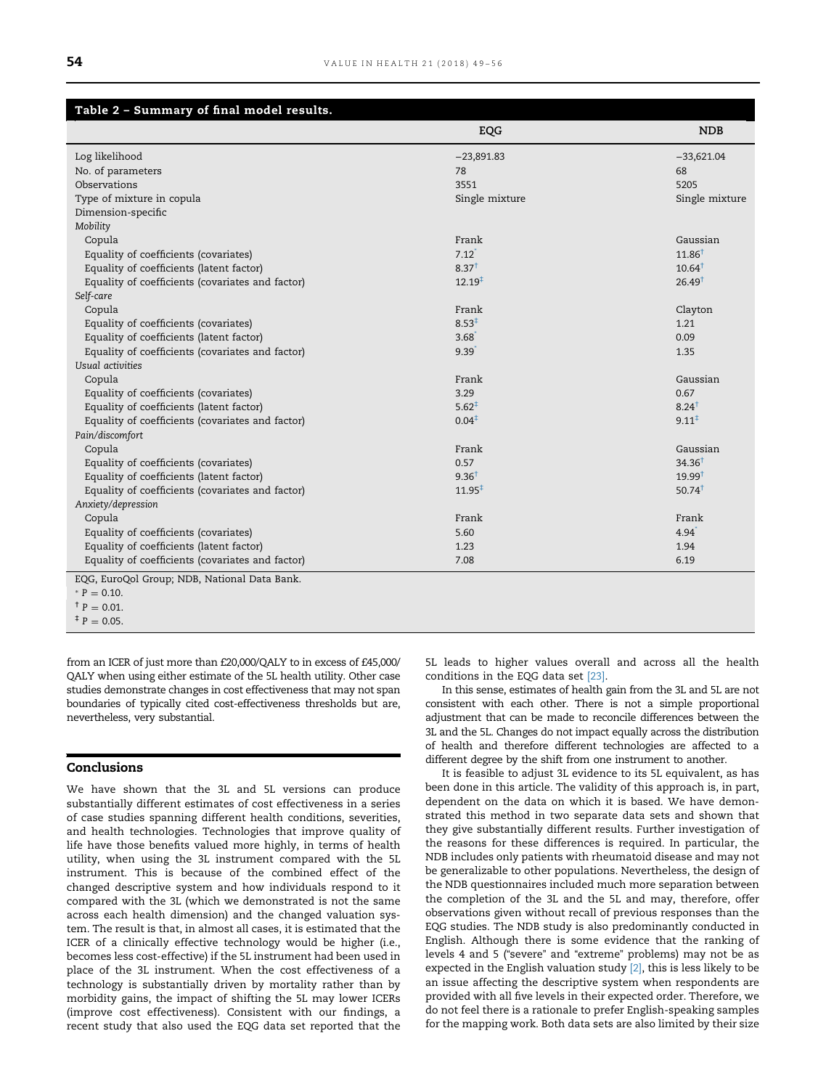<span id="page-5-0"></span>

| Table 2 - Summary of final model results.        |                     |                     |  |  |  |  |
|--------------------------------------------------|---------------------|---------------------|--|--|--|--|
|                                                  | <b>EQG</b>          | <b>NDB</b>          |  |  |  |  |
| Log likelihood                                   | $-23,891.83$        | $-33,621.04$        |  |  |  |  |
| No. of parameters                                | 78                  | 68                  |  |  |  |  |
| Observations                                     | 3551                | 5205                |  |  |  |  |
| Type of mixture in copula                        | Single mixture      | Single mixture      |  |  |  |  |
| Dimension-specific                               |                     |                     |  |  |  |  |
| Mobility                                         |                     |                     |  |  |  |  |
| Copula                                           | Frank               | Gaussian            |  |  |  |  |
| Equality of coefficients (covariates)            | $7.12$ <sup>*</sup> | $11.86^{+}$         |  |  |  |  |
| Equality of coefficients (latent factor)         | $8.37^{+}$          | $10.64^+$           |  |  |  |  |
| Equality of coefficients (covariates and factor) | 12.19 <sup>‡</sup>  | $26.49^{+}$         |  |  |  |  |
| Self-care                                        |                     |                     |  |  |  |  |
| Copula                                           | Frank               | Clayton             |  |  |  |  |
| Equality of coefficients (covariates)            | $8.53^{\ddagger}$   | 1.21                |  |  |  |  |
| Equality of coefficients (latent factor)         | 3.68                | 0.09                |  |  |  |  |
| Equality of coefficients (covariates and factor) | $9.39$ <sup>*</sup> | 1.35                |  |  |  |  |
| Usual activities                                 |                     |                     |  |  |  |  |
| Copula                                           | Frank               | Gaussian            |  |  |  |  |
| Equality of coefficients (covariates)            | 3.29                | 0.67                |  |  |  |  |
| Equality of coefficients (latent factor)         | $5.62^{\ddagger}$   | $8.24^{+}$          |  |  |  |  |
| Equality of coefficients (covariates and factor) | $0.04^{\ddagger}$   | 9.11 <sup>‡</sup>   |  |  |  |  |
| Pain/discomfort                                  |                     |                     |  |  |  |  |
| Copula                                           | Frank               | Gaussian            |  |  |  |  |
| Equality of coefficients (covariates)            | 0.57                | 34.36 <sup>†</sup>  |  |  |  |  |
| Equality of coefficients (latent factor)         | 9.36 <sup>†</sup>   | $19.99^{+}$         |  |  |  |  |
| Equality of coefficients (covariates and factor) | $11.95^{\ddagger}$  | 50.74 <sup>†</sup>  |  |  |  |  |
| Anxiety/depression                               |                     |                     |  |  |  |  |
| Copula                                           | Frank               | Frank               |  |  |  |  |
| Equality of coefficients (covariates)            | 5.60                | $4.94$ <sup>*</sup> |  |  |  |  |
| Equality of coefficients (latent factor)         | 1.23                | 1.94                |  |  |  |  |
| Equality of coefficients (covariates and factor) | 7.08                | 6.19                |  |  |  |  |
| EQG, EuroQol Group; NDB, National Data Bank.     |                     |                     |  |  |  |  |
| $P = 0.10$ .                                     |                     |                     |  |  |  |  |
| $+ P = 0.01$ .                                   |                     |                     |  |  |  |  |
| $^{\ddagger}$ P = 0.05.                          |                     |                     |  |  |  |  |

from an ICER of just more than £20,000/QALY to in excess of £45,000/ QALY when using either estimate of the 5L health utility. Other case studies demonstrate changes in cost effectiveness that may not span boundaries of typically cited cost-effectiveness thresholds but are, nevertheless, very substantial.

# Conclusions

We have shown that the 3L and 5L versions can produce substantially different estimates of cost effectiveness in a series of case studies spanning different health conditions, severities, and health technologies. Technologies that improve quality of life have those benefits valued more highly, in terms of health utility, when using the 3L instrument compared with the 5L instrument. This is because of the combined effect of the changed descriptive system and how individuals respond to it compared with the 3L (which we demonstrated is not the same across each health dimension) and the changed valuation system. The result is that, in almost all cases, it is estimated that the ICER of a clinically effective technology would be higher (i.e., becomes less cost-effective) if the 5L instrument had been used in place of the 3L instrument. When the cost effectiveness of a technology is substantially driven by mortality rather than by morbidity gains, the impact of shifting the 5L may lower ICERs (improve cost effectiveness). Consistent with our findings, a recent study that also used the EQG data set reported that the

5L leads to higher values overall and across all the health conditions in the EQG data set [\[23\]](#page-7-0).

In this sense, estimates of health gain from the 3L and 5L are not consistent with each other. There is not a simple proportional adjustment that can be made to reconcile differences between the 3L and the 5L. Changes do not impact equally across the distribution of health and therefore different technologies are affected to a different degree by the shift from one instrument to another.

It is feasible to adjust 3L evidence to its 5L equivalent, as has been done in this article. The validity of this approach is, in part, dependent on the data on which it is based. We have demonstrated this method in two separate data sets and shown that they give substantially different results. Further investigation of the reasons for these differences is required. In particular, the NDB includes only patients with rheumatoid disease and may not be generalizable to other populations. Nevertheless, the design of the NDB questionnaires included much more separation between the completion of the 3L and the 5L and may, therefore, offer observations given without recall of previous responses than the EQG studies. The NDB study is also predominantly conducted in English. Although there is some evidence that the ranking of levels 4 and 5 ("severe" and "extreme" problems) may not be as expected in the English valuation study [\[2\],](#page-7-0) this is less likely to be an issue affecting the descriptive system when respondents are provided with all five levels in their expected order. Therefore, we do not feel there is a rationale to prefer English-speaking samples for the mapping work. Both data sets are also limited by their size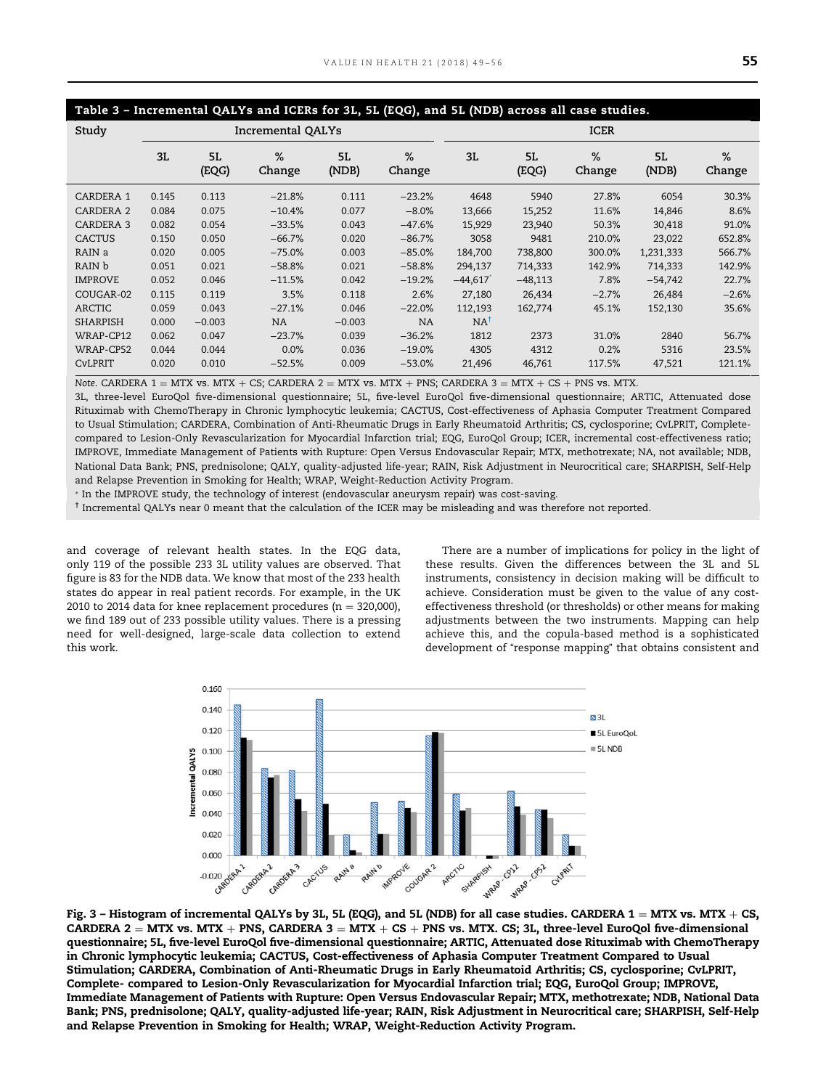<span id="page-6-0"></span>

| Table 3 - Incremental QALYs and ICERs for 3L, 5L (EQG), and 5L (NDB) across all case studies. |       |                   |             |             |                |                |             |             |             |             |
|-----------------------------------------------------------------------------------------------|-------|-------------------|-------------|-------------|----------------|----------------|-------------|-------------|-------------|-------------|
| Study                                                                                         |       | Incremental QALYs |             |             |                | <b>ICER</b>    |             |             |             |             |
|                                                                                               | 3L    | 5L<br>(EQG)       | %<br>Change | 5L<br>(NDB) | $\%$<br>Change | 3L             | 5L<br>(EQG) | %<br>Change | 5L<br>(NDB) | %<br>Change |
| <b>CARDERA 1</b>                                                                              | 0.145 | 0.113             | $-21.8%$    | 0.111       | $-23.2%$       | 4648           | 5940        | 27.8%       | 6054        | 30.3%       |
| <b>CARDERA 2</b>                                                                              | 0.084 | 0.075             | $-10.4%$    | 0.077       | $-8.0%$        | 13,666         | 15,252      | 11.6%       | 14,846      | 8.6%        |
| <b>CARDERA 3</b>                                                                              | 0.082 | 0.054             | $-33.5%$    | 0.043       | $-47.6%$       | 15,929         | 23,940      | 50.3%       | 30,418      | 91.0%       |
| <b>CACTUS</b>                                                                                 | 0.150 | 0.050             | $-66.7%$    | 0.020       | $-86.7%$       | 3058           | 9481        | 210.0%      | 23,022      | 652.8%      |
| RAIN a                                                                                        | 0.020 | 0.005             | $-75.0%$    | 0.003       | $-85.0%$       | 184,700        | 738,800     | 300.0%      | 1,231,333   | 566.7%      |
| RAIN b                                                                                        | 0.051 | 0.021             | $-58.8%$    | 0.021       | $-58.8%$       | 294,137        | 714,333     | 142.9%      | 714,333     | 142.9%      |
| <b>IMPROVE</b>                                                                                | 0.052 | 0.046             | $-11.5%$    | 0.042       | $-19.2%$       | $-44,617$      | $-48,113$   | 7.8%        | $-54,742$   | 22.7%       |
| COUGAR-02                                                                                     | 0.115 | 0.119             | 3.5%        | 0.118       | 2.6%           | 27,180         | 26,434      | $-2.7%$     | 26,484      | $-2.6%$     |
| <b>ARCTIC</b>                                                                                 | 0.059 | 0.043             | $-27.1%$    | 0.046       | $-22.0%$       | 112,193        | 162,774     | 45.1%       | 152,130     | 35.6%       |
| <b>SHARPISH</b>                                                                               | 0.000 | $-0.003$          | <b>NA</b>   | $-0.003$    | NA             | $NA^{\dagger}$ |             |             |             |             |
| WRAP-CP12                                                                                     | 0.062 | 0.047             | $-23.7%$    | 0.039       | $-36.2%$       | 1812           | 2373        | 31.0%       | 2840        | 56.7%       |
| WRAP-CP52                                                                                     | 0.044 | 0.044             | 0.0%        | 0.036       | $-19.0%$       | 4305           | 4312        | 0.2%        | 5316        | 23.5%       |
| CvLPRIT                                                                                       | 0.020 | 0.010             | $-52.5%$    | 0.009       | $-53.0%$       | 21,496         | 46,761      | 117.5%      | 47,521      | 121.1%      |

Note. CARDERA  $1 = MTX$  vs. MTX  $+ CS$ ; CARDERA  $2 = MTX$  vs. MTX  $+ PNS$ ; CARDERA  $3 = MTX + CS + PNS$  vs. MTX.

3L, three-level EuroQol five-dimensional questionnaire; 5L, five-level EuroQol five-dimensional questionnaire; ARTIC, Attenuated dose Rituximab with ChemoTherapy in Chronic lymphocytic leukemia; CACTUS, Cost-effectiveness of Aphasia Computer Treatment Compared to Usual Stimulation; CARDERA, Combination of Anti-Rheumatic Drugs in Early Rheumatoid Arthritis; CS, cyclosporine; CvLPRIT, Completecompared to Lesion-Only Revascularization for Myocardial Infarction trial; EQG, EuroQol Group; ICER, incremental cost-effectiveness ratio; IMPROVE, Immediate Management of Patients with Rupture: Open Versus Endovascular Repair; MTX, methotrexate; NA, not available; NDB, National Data Bank; PNS, prednisolone; QALY, quality-adjusted life-year; RAIN, Risk Adjustment in Neurocritical care; SHARPISH, Self-Help and Relapse Prevention in Smoking for Health; WRAP, Weight-Reduction Activity Program.

⁎ In the IMPROVE study, the technology of interest (endovascular aneurysm repair) was cost-saving.

† Incremental QALYs near 0 meant that the calculation of the ICER may be misleading and was therefore not reported.

and coverage of relevant health states. In the EQG data, only 119 of the possible 233 3L utility values are observed. That figure is 83 for the NDB data. We know that most of the 233 health states do appear in real patient records. For example, in the UK 2010 to 2014 data for knee replacement procedures ( $n = 320,000$ ), we find 189 out of 233 possible utility values. There is a pressing need for well-designed, large-scale data collection to extend this work.

There are a number of implications for policy in the light of these results. Given the differences between the 3L and 5L instruments, consistency in decision making will be difficult to achieve. Consideration must be given to the value of any costeffectiveness threshold (or thresholds) or other means for making adjustments between the two instruments. Mapping can help achieve this, and the copula-based method is a sophisticated development of "response mapping" that obtains consistent and



Fig. 3 – Histogram of incremental QALYs by 3L, 5L (EQG), and 5L (NDB) for all case studies. CARDERA  $1 = MTX$  vs. MTX + CS, CARDERA 2 = MTX vs. MTX + PNS, CARDERA 3 = MTX + CS + PNS vs. MTX. CS; 3L, three-level EuroQol five-dimensional questionnaire; 5L, five-level EuroQol five-dimensional questionnaire; ARTIC, Attenuated dose Rituximab with ChemoTherapy in Chronic lymphocytic leukemia; CACTUS, Cost-effectiveness of Aphasia Computer Treatment Compared to Usual Stimulation; CARDERA, Combination of Anti-Rheumatic Drugs in Early Rheumatoid Arthritis; CS, cyclosporine; CvLPRIT, Complete- compared to Lesion-Only Revascularization for Myocardial Infarction trial; EQG, EuroQol Group; IMPROVE, Immediate Management of Patients with Rupture: Open Versus Endovascular Repair; MTX, methotrexate; NDB, National Data Bank; PNS, prednisolone; QALY, quality-adjusted life-year; RAIN, Risk Adjustment in Neurocritical care; SHARPISH, Self-Help and Relapse Prevention in Smoking for Health; WRAP, Weight-Reduction Activity Program.